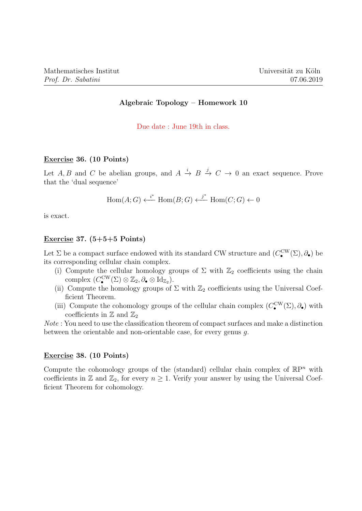# Algebraic Topology – Homework 10

Due date : June 19th in class.

#### Exercise 36. (10 Points)

Let A, B and C be abelian groups, and  $A \stackrel{i}{\to} B \stackrel{j}{\to} C \to 0$  an exact sequence. Prove that the 'dual sequence'

$$
Hom(A;G) \xleftarrow{i^*} Hom(B;G) \xleftarrow{j^*} Hom(C;G) \xleftarrow{0}
$$

is exact.

#### Exercise 37.  $(5+5+5$  Points)

Let  $\Sigma$  be a compact surface endowed with its standard CW structure and  $(C_{\bullet}^{\text{CW}}(\Sigma), \partial_{\bullet})$  be its corresponding cellular chain complex.

- (i) Compute the cellular homology groups of  $\Sigma$  with  $\mathbb{Z}_2$  coefficients using the chain complex  $(C_{\bullet}^{\text{CW}}(\Sigma) \otimes \mathbb{Z}_2, \partial_{\bullet} \otimes \text{Id}_{\mathbb{Z}_2}).$
- (ii) Compute the homology groups of  $\Sigma$  with  $\mathbb{Z}_2$  coefficients using the Universal Coefficient Theorem.
- (iii) Compute the cohomology groups of the cellular chain complex  $(C_{\bullet}^{\text{CW}}(\Sigma), \partial_{\bullet})$  with coefficients in  $\mathbb{Z}$  and  $\mathbb{Z}_2$

Note : You need to use the classification theorem of compact surfaces and make a distinction between the orientable and non-orientable case, for every genus g.

## Exercise 38. (10 Points)

Compute the cohomology groups of the (standard) cellular chain complex of  $\mathbb{R}P^n$  with coefficients in  $\mathbb Z$  and  $\mathbb Z_2$ , for every  $n \geq 1$ . Verify your answer by using the Universal Coefficient Theorem for cohomology.